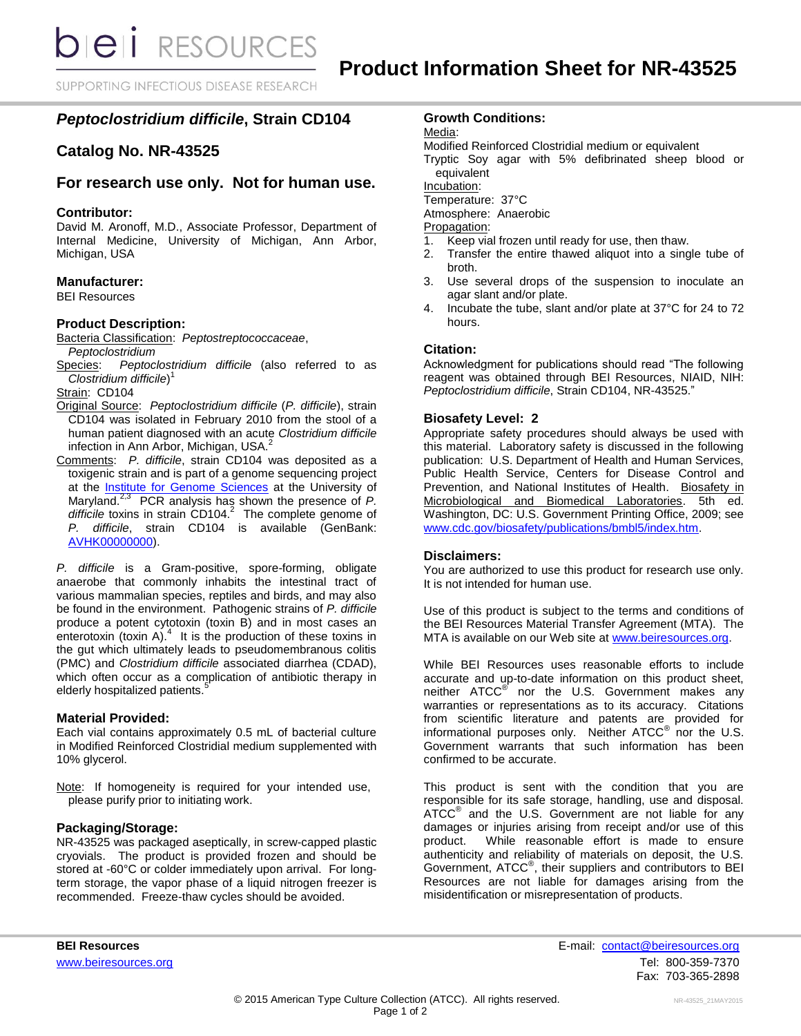**bieli** RESOURCES

SUPPORTING INFECTIOUS DISEASE RESEARCH

# *Peptoclostridium difficile***, Strain CD104**

# **Catalog No. NR-43525**

# **For research use only. Not for human use.**

### **Contributor:**

David M. Aronoff, M.D., Associate Professor, Department of Internal Medicine, University of Michigan, Ann Arbor, Michigan, USA

# **Manufacturer:**

BEI Resources

#### **Product Description:**

Bacteria Classification: *Peptostreptococcaceae*, *Peptoclostridium*

Species: *Peptoclostridium difficile* (also referred to as *Clostridium difficile*) 1

Strain: CD104

- Original Source: *Peptoclostridium difficile* (*P. difficile*), strain CD104 was isolated in February 2010 from the stool of a human patient diagnosed with an acute *Clostridium difficile* infection in Ann Arbor, Michigan, USA.<sup>2</sup>
- Comments: *P. difficile*, strain CD104 was deposited as a toxigenic strain and is part of a genome sequencing project at the [Institute for Genome Sciences](http://www.igs.umaryland.edu/) at the University of Maryland.2,3 PCR analysis has shown the presence of *P. difficile* toxins in strain CD104. 2 The complete genome of *P. difficile*, strain CD104 is available (GenBank: [AVHK00000000\)](http://www.ncbi.nlm.nih.gov/nuccore/AVHK00000000).

*P. difficile* is a Gram-positive, spore-forming, obligate anaerobe that commonly inhabits the intestinal tract of various mammalian species, reptiles and birds, and may also be found in the environment. Pathogenic strains of *P. difficile* produce a potent cytotoxin (toxin B) and in most cases an enterotoxin (toxin A). $4$  It is the production of these toxins in the gut which ultimately leads to pseudomembranous colitis (PMC) and *Clostridium difficile* associated diarrhea (CDAD), which often occur as a complication of antibiotic therapy in elderly hospitalized patients.<sup>5</sup>

#### **Material Provided:**

Each vial contains approximately 0.5 mL of bacterial culture in Modified Reinforced Clostridial medium supplemented with 10% glycerol.

Note: If homogeneity is required for your intended use, please purify prior to initiating work.

#### **Packaging/Storage:**

NR-43525 was packaged aseptically, in screw-capped plastic cryovials. The product is provided frozen and should be stored at -60°C or colder immediately upon arrival. For longterm storage, the vapor phase of a liquid nitrogen freezer is recommended. Freeze-thaw cycles should be avoided.

# **Growth Conditions:**

Media:

Modified Reinforced Clostridial medium or equivalent

Tryptic Soy agar with 5% defibrinated sheep blood or equivalent

Incubation:

Temperature: 37°C

Atmosphere: Anaerobic

Propagation:

- 1. Keep vial frozen until ready for use, then thaw.
- 2. Transfer the entire thawed aliquot into a single tube of broth.
- 3. Use several drops of the suspension to inoculate an agar slant and/or plate.
- 4. Incubate the tube, slant and/or plate at 37°C for 24 to 72 hours.

# **Citation:**

Acknowledgment for publications should read "The following reagent was obtained through BEI Resources, NIAID, NIH: *Peptoclostridium difficile*, Strain CD104, NR-43525."

# **Biosafety Level: 2**

Appropriate safety procedures should always be used with this material. Laboratory safety is discussed in the following publication: U.S. Department of Health and Human Services, Public Health Service, Centers for Disease Control and Prevention, and National Institutes of Health. Biosafety in Microbiological and Biomedical Laboratories. 5th ed. Washington, DC: U.S. Government Printing Office, 2009; see [www.cdc.gov/biosafety/publications/bmbl5/index.htm.](http://www.cdc.gov/biosafety/publications/bmbl5/index.htm)

#### **Disclaimers:**

You are authorized to use this product for research use only. It is not intended for human use.

Use of this product is subject to the terms and conditions of the BEI Resources Material Transfer Agreement (MTA). The MTA is available on our Web site at [www.beiresources.org.](http://www.beiresources.org/)

While BEI Resources uses reasonable efforts to include accurate and up-to-date information on this product sheet, neither ATCC<sup>®</sup> nor the U.S. Government makes any warranties or representations as to its accuracy. Citations from scientific literature and patents are provided for informational purposes only. Neither  $ATCC^{\circledast}$  nor the U.S. Government warrants that such information has been confirmed to be accurate.

This product is sent with the condition that you are responsible for its safe storage, handling, use and disposal. ATCC<sup>®</sup> and the U.S. Government are not liable for any damages or injuries arising from receipt and/or use of this product. While reasonable effort is made to ensure authenticity and reliability of materials on deposit, the U.S. Government, ATCC® , their suppliers and contributors to BEI Resources are not liable for damages arising from the misidentification or misrepresentation of products.

**BEI Resources** E-mail: contact@beiresources.org [www.beiresources.org](http://www.beiresources.org/) **Tel: 800-359-7370** Fax: 703-365-2898